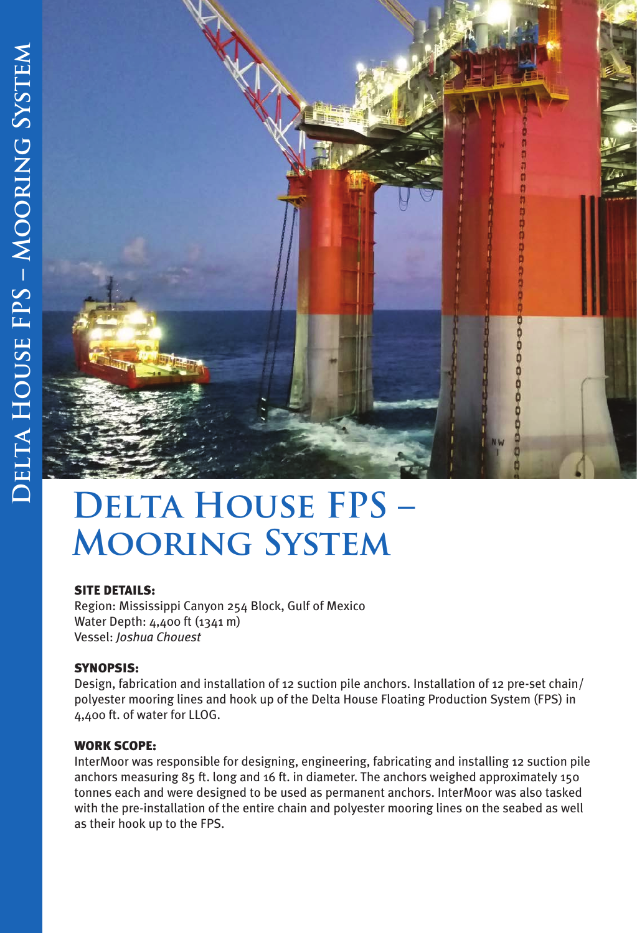

# **Delta House FPS – Mooring System**

## SITE DETAILS:

Region: Mississippi Canyon 254 Block, Gulf of Mexico Water Depth: 4,400 ft (1341 m) Vessel: *Joshua Chouest*

## SYNOPSIS:

Design, fabrication and installation of 12 suction pile anchors. Installation of 12 pre-set chain/ polyester mooring lines and hook up of the Delta House Floating Production System (FPS) in 4,400 ft. of water for LLOG.

## WORK SCOPE:

InterMoor was responsible for designing, engineering, fabricating and installing 12 suction pile anchors measuring 85 ft. long and 16 ft. in diameter. The anchors weighed approximately 150 tonnes each and were designed to be used as permanent anchors. InterMoor was also tasked with the pre-installation of the entire chain and polyester mooring lines on the seabed as well as their hook up to the FPS.